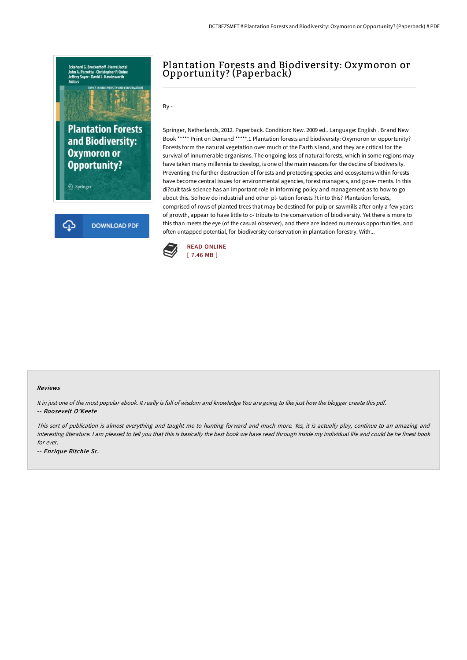

## Plantation Forests and Biodiversity: Oxymoron or Opportunity? (Paperback)

By -

Springer, Netherlands, 2012. Paperback. Condition: New. 2009 ed.. Language: English . Brand New Book \*\*\*\*\* Print on Demand \*\*\*\*\*.1 Plantation forests and biodiversity: Oxymoron or opportunity? Forests form the natural vegetation over much of the Earth s land, and they are critical for the survival of innumerable organisms. The ongoing loss of natural forests, which in some regions may have taken many millennia to develop, is one of the main reasons for the decline of biodiversity. Preventing the further destruction of forests and protecting species and ecosystems within forests have become central issues for environmental agencies, forest managers, and gove- ments. In this di?cult task science has an important role in informing policy and management as to how to go about this. So how do industrial and other pl- tation forests ?t into this? Plantation forests, comprised of rows of planted trees that may be destined for pulp or sawmills after only a few years of growth, appear to have little to c- tribute to the conservation of biodiversity. Yet there is more to this than meets the eye (of the casual observer), and there are indeed numerous opportunities, and often untapped potential, for biodiversity conservation in plantation forestry. With...



## Reviews

It in just one of the most popular ebook. It really is full of wisdom and knowledge You are going to like just how the blogger create this pdf. -- Roosevelt O'Keefe

This sort of publication is almost everything and taught me to hunting forward and much more. Yes, it is actually play, continue to an amazing and interesting literature. <sup>I</sup> am pleased to tell you that this is basically the best book we have read through inside my individual life and could be he finest book for ever.

-- Enrique Ritchie Sr.